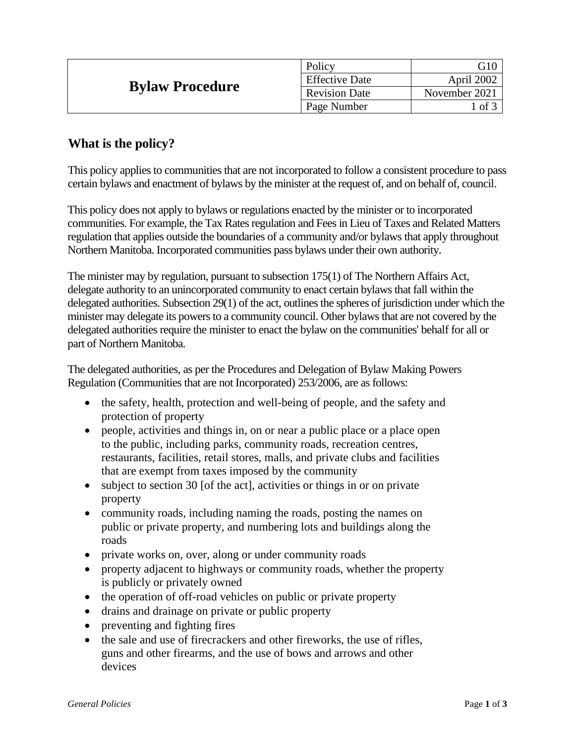| <b>Bylaw Procedure</b> | Policy                | G10              |
|------------------------|-----------------------|------------------|
|                        | <b>Effective Date</b> | April 2002       |
|                        | <b>Revision Date</b>  | November 2021    |
|                        | Page Number           | $\circ$ of $\in$ |

# **What is the policy?**

This policy applies to communities that are not incorporated to follow a consistent procedure to pass certain bylaws and enactment of bylaws by the minister at the request of, and on behalf of, council.

This policy does not apply to bylaws or regulations enacted by the minister or to incorporated communities. For example, the Tax Rates regulation and Fees in Lieu of Taxes and Related Matters regulation that applies outside the boundaries of a community and/or bylaws that apply throughout Northern Manitoba. Incorporated communities pass bylaws under their own authority.

The minister may by regulation, pursuant to subsection 175(1) of The Northern Affairs Act, delegate authority to an unincorporated community to enact certain bylaws that fall within the delegated authorities. Subsection 29(1) of the act, outlines the spheres of jurisdiction under which the minister may delegate its powers to a community council. Other bylaws that are not covered by the delegated authorities require the minister to enact the bylaw on the communities' behalf for all or part of Northern Manitoba.

The delegated authorities, as per the Procedures and Delegation of Bylaw Making Powers Regulation (Communities that are not Incorporated) 253/2006, are as follows:

- the safety, health, protection and well-being of people, and the safety and protection of property
- people, activities and things in, on or near a public place or a place open to the public, including parks, community roads, recreation centres, restaurants, facilities, retail stores, malls, and private clubs and facilities that are exempt from taxes imposed by the community
- subject to section 30 [of the act], activities or things in or on private property
- community roads, including naming the roads, posting the names on public or private property, and numbering lots and buildings along the roads
- private works on, over, along or under community roads
- property adjacent to highways or community roads, whether the property is publicly or privately owned
- the operation of off-road vehicles on public or private property
- drains and drainage on private or public property
- preventing and fighting fires
- the sale and use of firecrackers and other fireworks, the use of rifles, guns and other firearms, and the use of bows and arrows and other devices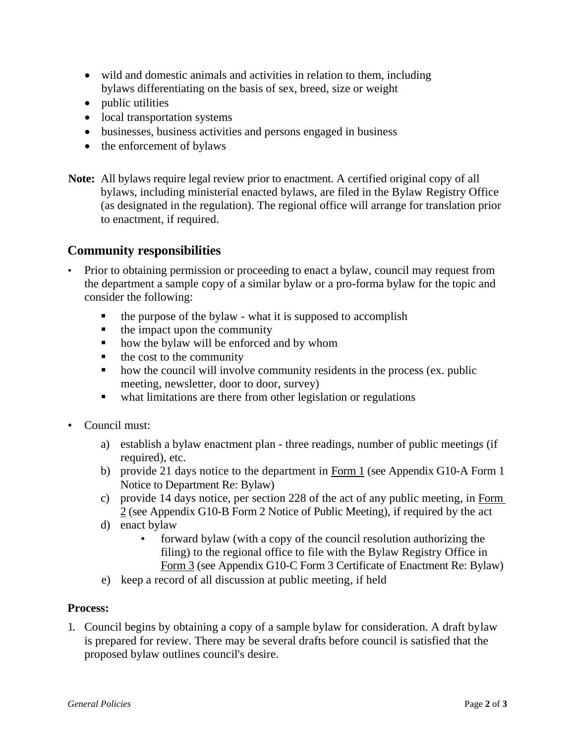- wild and domestic animals and activities in relation to them, including bylaws differentiating on the basis of sex, breed, size or weight
- public utilities
- local transportation systems
- businesses, business activities and persons engaged in business
- the enforcement of bylaws
- **Note:** All bylaws require legal review prior to enactment. A certified original copy of all bylaws, including ministerial enacted bylaws, are filed in the Bylaw Registry Office (as designated in the regulation). The regional office will arrange for translation prior to enactment, if required.

### **Community responsibilities**

- Prior to obtaining permission or proceeding to enact a bylaw, council may request from the department a sample copy of a similar bylaw or a pro-forma bylaw for the topic and consider the following:
	- $\blacksquare$  the purpose of the bylaw what it is supposed to accomplish
	- $\blacksquare$  the impact upon the community
	- how the bylaw will be enforced and by whom
	- $\blacksquare$  the cost to the community
	- how the council will involve community residents in the process (ex. public meeting, newsletter, door to door, survey)
	- what limitations are there from other legislation or regulations
- Council must:
	- a) establish a bylaw enactment plan three readings, number of public meetings (if required), etc.
	- b) provide 21 days notice to the department in Form 1 (see Appendix G10-A Form 1 Notice to Department Re: Bylaw)
	- c) provide 14 days notice, per section 228 of the act of any public meeting, in Form 2 (see Appendix G10-B Form 2 Notice of Public Meeting), if required by the act
	- d) enact bylaw
		- forward bylaw (with a copy of the council resolution authorizing the filing) to the regional office to file with the Bylaw Registry Office in Form 3 (see Appendix G10-C Form 3 Certificate of Enactment Re: Bylaw)
	- e) keep a record of all discussion at public meeting, if held

#### **Process:**

1. Council begins by obtaining a copy of a sample bylaw for consideration. A draft bylaw is prepared for review. There may be several drafts before council is satisfied that the proposed bylaw outlines council's desire.